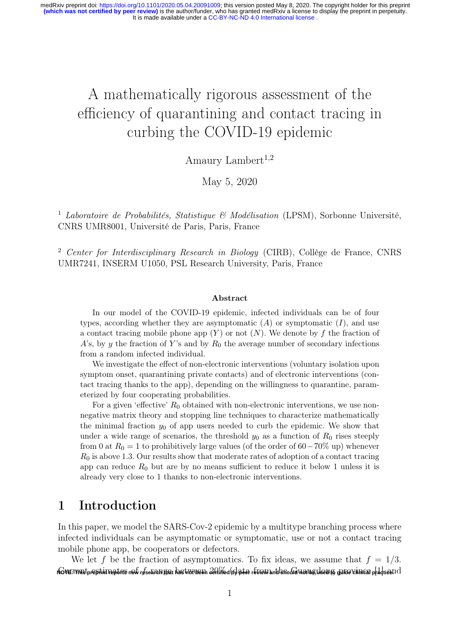# A mathematically rigorous assessment of the efficiency of quarantining and contact tracing in curbing the COVID-19 epidemic

Amaury Lambert<sup>1,2</sup>

May 5, 2020

<sup>1</sup> Laboratoire de Probabilités, Statistique & Modélisation (LPSM), Sorbonne Université, CNRS UMR8001, Université de Paris, Paris, France

<sup>2</sup> Center for Interdisciplinary Research in Biology (CIRB), Collège de France, CNRS UMR7241, INSERM U1050, PSL Research University, Paris, France

#### Abstract

In our model of the COVID-19 epidemic, infected individuals can be of four types, according whether they are asymptomatic  $(A)$  or symptomatic  $(I)$ , and use a contact tracing mobile phone app  $(Y)$  or not  $(N)$ . We denote by f the fraction of A's, by y the fraction of Y's and by  $R_0$  the average number of secondary infections from a random infected individual.

We investigate the effect of non-electronic interventions (voluntary isolation upon symptom onset, quarantining private contacts) and of electronic interventions (contact tracing thanks to the app), depending on the willingness to quarantine, parameterized by four cooperating probabilities.

For a given 'effective'  $R_0$  obtained with non-electronic interventions, we use nonnegative matrix theory and stopping line techniques to characterize mathematically the minimal fraction  $y_0$  of app users needed to curb the epidemic. We show that under a wide range of scenarios, the threshold  $y_0$  as a function of  $R_0$  rises steeply from 0 at  $R_0 = 1$  to prohibitively large values (of the order of 60−70% up) whenever  $R_0$  is above 1.3. Our results show that moderate rates of adoption of a contact tracing app can reduce  $R_0$  but are by no means sufficient to reduce it below 1 unless it is already very close to 1 thanks to non-electronic interventions.

### 1 Introduction

In this paper, we model the SARS-Cov-2 epidemic by a multitype branching process where infected individuals can be asymptomatic or symptomatic, use or not a contact tracing mobile phone app, be cooperators or defectors.

We let f be the fraction of asymptomatics. To fix ideas, we assume that  $f = 1/3$ . NO<del>VE: mistpreptint reports new research yar has not been *20 in*ed (by poer review antikshould not by dear yo guide clinical practice.) I</del>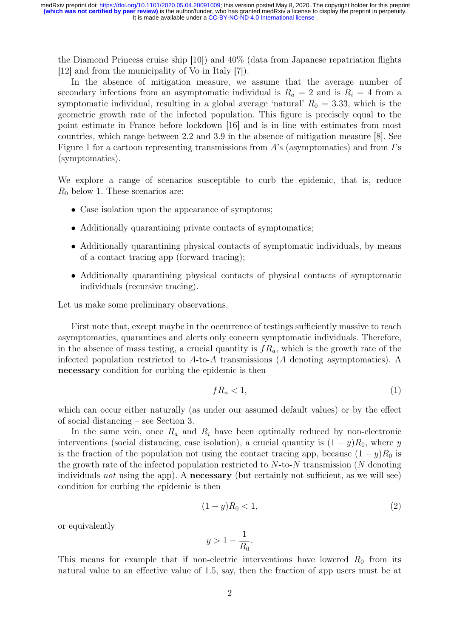the Diamond Princess cruise ship [10]) and 40% (data from Japanese repatriation flights [12] and from the municipality of Vo in Italy [7]).

In the absence of mitigation measure, we assume that the average number of secondary infections from an asymptomatic individual is  $R_a = 2$  and is  $R_i = 4$  from a symptomatic individual, resulting in a global average 'natural'  $R_0 = 3.33$ , which is the geometric growth rate of the infected population. This figure is precisely equal to the point estimate in France before lockdown [16] and is in line with estimates from most countries, which range between 2.2 and 3.9 in the absence of mitigation measure [8]. See Figure 1 for a cartoon representing transmissions from  $A$ 's (asymptomatics) and from  $I$ 's (symptomatics).

We explore a range of scenarios susceptible to curb the epidemic, that is, reduce  $R_0$  below 1. These scenarios are:

- Case isolation upon the appearance of symptoms;
- Additionally quarantining private contacts of symptomatics;
- Additionally quarantining physical contacts of symptomatic individuals, by means of a contact tracing app (forward tracing);
- Additionally quarantining physical contacts of physical contacts of symptomatic individuals (recursive tracing).

Let us make some preliminary observations.

First note that, except maybe in the occurrence of testings sufficiently massive to reach asymptomatics, quarantines and alerts only concern symptomatic individuals. Therefore, in the absence of mass testing, a crucial quantity is  $f_{a}$ , which is the growth rate of the infected population restricted to A-to-A transmissions (A denoting asymptomatics). A necessary condition for curbing the epidemic is then

$$
fR_a < 1,\tag{1}
$$

which can occur either naturally (as under our assumed default values) or by the effect of social distancing – see Section 3.

In the same vein, once  $R_a$  and  $R_i$  have been optimally reduced by non-electronic interventions (social distancing, case isolation), a crucial quantity is  $(1 - y)R_0$ , where y is the fraction of the population not using the contact tracing app, because  $(1 - y)R_0$  is the growth rate of the infected population restricted to  $N$ -to- $N$  transmission (N denoting individuals not using the app). A **necessary** (but certainly not sufficient, as we will see) condition for curbing the epidemic is then

$$
(1 - y)R_0 < 1,\tag{2}
$$

or equivalently

$$
y > 1 - \frac{1}{R_0}.
$$

This means for example that if non-electric interventions have lowered  $R_0$  from its natural value to an effective value of 1.5, say, then the fraction of app users must be at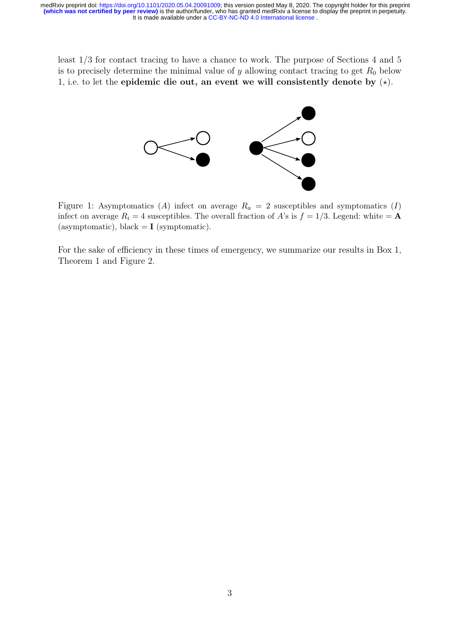It is made available under a [CC-BY-NC-ND 4.0 International license](http://creativecommons.org/licenses/by-nc-nd/4.0/) . medRxiv preprint doi: [https://doi.org/10.1101/2020.05.04.20091009;](https://doi.org/10.1101/2020.05.04.20091009) this version posted May 8, 2020. The copyright holder for this preprint<br>(which was not certified by peer review) is the author/funder, who has granted medR

least 1/3 for contact tracing to have a chance to work. The purpose of Sections 4 and 5 is to precisely determine the minimal value of  $y$  allowing contact tracing to get  $R_0$  below 1, i.e. to let the epidemic die out, an event we will consistently denote by  $(\star)$ .



Figure 1: Asymptomatics (A) infect on average  $R_a = 2$  susceptibles and symptomatics (I) infect on average  $R_i = 4$  susceptibles. The overall fraction of A's is  $f = 1/3$ . Legend: white = **A** (asymptomatic), black  $= I$  (symptomatic).

For the sake of efficiency in these times of emergency, we summarize our results in Box 1, Theorem 1 and Figure 2.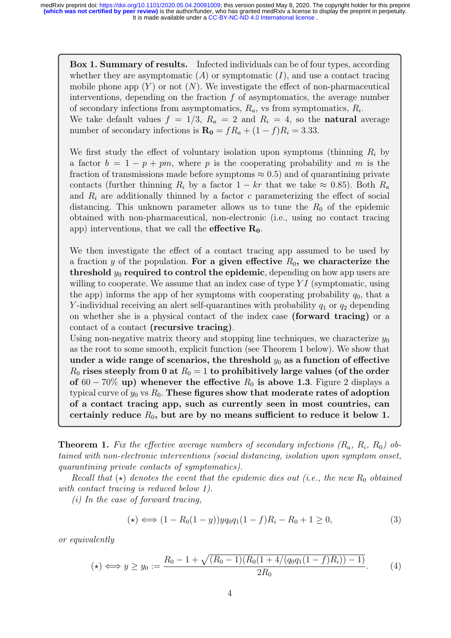Box 1. Summary of results. Infected individuals can be of four types, according whether they are asymptomatic  $(A)$  or symptomatic  $(I)$ , and use a contact tracing mobile phone app  $(Y)$  or not  $(N)$ . We investigate the effect of non-pharmaceutical interventions, depending on the fraction  $f$  of asymptomatics, the average number of secondary infections from asymptomatics,  $R_a$ , vs from symptomatics,  $R_i$ . We take default values  $f = 1/3$ ,  $R_a = 2$  and  $R_i = 4$ , so the **natural** average number of secondary infections is  $\mathbf{R_0} = f R_a + (1 - f) R_i = 3.33$ .

We first study the effect of voluntary isolation upon symptoms (thinning  $R_i$  by a factor  $b = 1 - p + pm$ , where p is the cooperating probability and m is the fraction of transmissions made before symptoms  $\approx 0.5$ ) and of quarantining private contacts (further thinning  $R_i$  by a factor  $1 - kr$  that we take  $\approx 0.85$ ). Both  $R_a$ and  $R_i$  are additionally thinned by a factor c parameterizing the effect of social distancing. This unknown parameter allows us to tune the  $R_0$  of the epidemic obtained with non-pharmaceutical, non-electronic (i.e., using no contact tracing app) interventions, that we call the **effective**  $R_0$ .

We then investigate the effect of a contact tracing app assumed to be used by a fraction y of the population. For a given effective  $R_0$ , we characterize the threshold  $y_0$  required to control the epidemic, depending on how app users are willing to cooperate. We assume that an index case of type  $YI$  (symptomatic, using the app) informs the app of her symptoms with cooperating probability  $q_0$ , that a Y-individual receiving an alert self-quarantines with probability  $q_1$  or  $q_2$  depending on whether she is a physical contact of the index case (forward tracing) or a contact of a contact (recursive tracing).

Using non-negative matrix theory and stopping line techniques, we characterize  $y_0$ as the root to some smooth, explicit function (see Theorem 1 below). We show that under a wide range of scenarios, the threshold  $y_0$  as a function of effective  $R_0$  rises steeply from 0 at  $R_0 = 1$  to prohibitively large values (of the order of 60 − 70% up) whenever the effective  $R_0$  is above 1.3. Figure 2 displays a typical curve of  $y_0$  vs  $R_0$ . These figures show that moderate rates of adoption of a contact tracing app, such as currently seen in most countries, can certainly reduce  $R_0$ , but are by no means sufficient to reduce it below 1.

**Theorem 1.** Fix the effective average numbers of secondary infections  $(R_a, R_i, R_0)$  obtained with non-electronic interventions (social distancing, isolation upon symptom onset, quarantining private contacts of symptomatics).

Recall that  $(\star)$  denotes the event that the epidemic dies out (i.e., the new R<sub>0</sub> obtained with contact tracing is reduced below 1).

(i) In the case of forward tracing,

$$
(\star) \Longleftrightarrow (1 - R_0(1 - y))yq_0q_1(1 - f)R_i - R_0 + 1 \ge 0,
$$
\n
$$
(3)
$$

or equivalently

$$
(\star) \iff y \ge y_0 := \frac{R_0 - 1 + \sqrt{(R_0 - 1)(R_0(1 + 4/(q_0 q_1 (1 - f)R_i)) - 1)}}{2R_0}.
$$
 (4)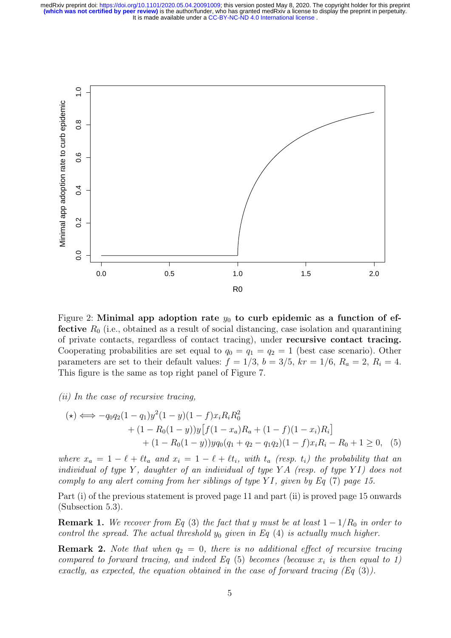

Figure 2: Minimal app adoption rate  $y_0$  to curb epidemic as a function of ef**fective**  $R_0$  (i.e., obtained as a result of social distancing, case isolation and quarantining of private contacts, regardless of contact tracing), under recursive contact tracing. Cooperating probabilities are set equal to  $q_0 = q_1 = q_2 = 1$  (best case scenario). Other parameters are set to their default values:  $f = 1/3$ ,  $b = 3/5$ ,  $kr = 1/6$ ,  $R_a = 2$ ,  $R_i = 4$ . This figure is the same as top right panel of Figure 7.

#### $(ii)$  In the case of recursive tracing,

$$
(\star) \iff -q_0 q_2 (1 - q_1) y^2 (1 - y) (1 - f) x_i R_i R_0^2 + (1 - R_0 (1 - y)) y [f(1 - x_a) R_a + (1 - f)(1 - x_i) R_i] + (1 - R_0 (1 - y)) y q_0 (q_1 + q_2 - q_1 q_2) (1 - f) x_i R_i - R_0 + 1 \ge 0,
$$
 (5)

where  $x_a = 1 - \ell + \ell t_a$  and  $x_i = 1 - \ell + \ell t_i$ , with  $t_a$  (resp.  $t_i$ ) the probability that an individual of type Y, daughter of an individual of type YA (resp. of type YI) does not comply to any alert coming from her siblings of type YI, given by Eq  $(7)$  page 15.

Part (i) of the previous statement is proved page 11 and part (ii) is proved page 15 onwards (Subsection 5.3).

**Remark 1.** We recover from Eq (3) the fact that y must be at least  $1 - 1/R_0$  in order to control the spread. The actual threshold  $y_0$  given in Eq (4) is actually much higher.

**Remark 2.** Note that when  $q_2 = 0$ , there is no additional effect of recursive tracing compared to forward tracing, and indeed Eq  $(5)$  becomes (because  $x_i$  is then equal to 1) exactly, as expected, the equation obtained in the case of forward tracing  $(Eq(3))$ .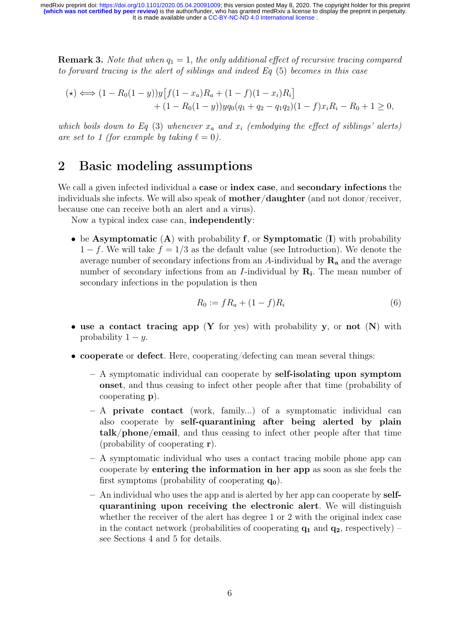**Remark 3.** Note that when  $q_1 = 1$ , the only additional effect of recursive tracing compared to forward tracing is the alert of siblings and indeed Eq (5) becomes in this case

$$
(\star) \Longleftrightarrow (1 - R_0(1 - y))y[f(1 - x_a)R_a + (1 - f)(1 - x_i)R_i] + (1 - R_0(1 - y))yq_0(q_1 + q_2 - q_1q_2)(1 - f)x_iR_i - R_0 + 1 \ge 0,
$$

which boils down to Eq (3) whenever  $x_a$  and  $x_i$  (embodying the effect of siblings' alerts) are set to 1 (for example by taking  $\ell = 0$ ).

# 2 Basic modeling assumptions

We call a given infected individual a case or **index case**, and **secondary infections** the individuals she infects. We will also speak of mother/daughter (and not donor/receiver, because one can receive both an alert and a virus).

Now a typical index case can, independently:

• be Asymptomatic  $(A)$  with probability f, or Symptomatic  $(I)$  with probability  $1-f$ . We will take  $f = 1/3$  as the default value (see Introduction). We denote the average number of secondary infections from an A-individual by  $\mathbf{R}_{a}$  and the average number of secondary infections from an  $I$ -individual by  $\mathbf{R}_{i}$ . The mean number of secondary infections in the population is then

$$
R_0 := fR_a + (1 - f)R_i \tag{6}
$$

- use a contact tracing app  $(Y \text{ for yes})$  with probability y, or not  $(N)$  with probability  $1 - y$ .
- cooperate or defect. Here, cooperating/defecting can mean several things:
	- A symptomatic individual can cooperate by self-isolating upon symptom onset, and thus ceasing to infect other people after that time (probability of cooperating p).
	- A private contact (work, family...) of a symptomatic individual can also cooperate by self-quarantining after being alerted by plain talk/phone/email, and thus ceasing to infect other people after that time (probability of cooperating r).
	- A symptomatic individual who uses a contact tracing mobile phone app can cooperate by entering the information in her app as soon as she feels the first symptoms (probability of cooperating  $q_0$ ).
	- An individual who uses the app and is alerted by her app can cooperate by selfquarantining upon receiving the electronic alert. We will distinguish whether the receiver of the alert has degree 1 or 2 with the original index case in the contact network (probabilities of cooperating  $q_1$  and  $q_2$ , respectively) – see Sections 4 and 5 for details.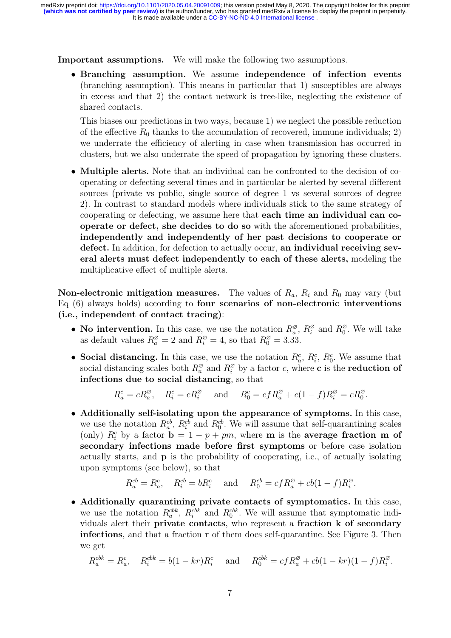Important assumptions. We will make the following two assumptions.

• Branching assumption. We assume independence of infection events (branching assumption). This means in particular that 1) susceptibles are always in excess and that 2) the contact network is tree-like, neglecting the existence of shared contacts.

This biases our predictions in two ways, because 1) we neglect the possible reduction of the effective  $R_0$  thanks to the accumulation of recovered, immune individuals; 2) we underrate the efficiency of alerting in case when transmission has occurred in clusters, but we also underrate the speed of propagation by ignoring these clusters.

• Multiple alerts. Note that an individual can be confronted to the decision of cooperating or defecting several times and in particular be alerted by several different sources (private vs public, single source of degree 1 vs several sources of degree 2). In contrast to standard models where individuals stick to the same strategy of cooperating or defecting, we assume here that each time an individual can cooperate or defect, she decides to do so with the aforementioned probabilities, independently and independently of her past decisions to cooperate or defect. In addition, for defection to actually occur, an individual receiving several alerts must defect independently to each of these alerts, modeling the multiplicative effect of multiple alerts.

**Non-electronic mitigation measures.** The values of  $R_a$ ,  $R_i$  and  $R_0$  may vary (but Eq (6) always holds) according to four scenarios of non-electronic interventions (i.e., independent of contact tracing):

- No intervention. In this case, we use the notation  $R_a^{\varnothing}$ ,  $R_i^{\varnothing}$  $\frac{\infty}{i}$  and  $R_0^{\emptyset}$  $_{0}^{\varnothing}$ . We will take as default values  $R_a^{\varnothing} = 2$  and  $R_i^{\varnothing} = 4$ , so that  $R_0^{\varnothing} = 3.33$ .
- Social distancing. In this case, we use the notation  $R_a^c$ ,  $R_i^c$ ,  $R_0^c$ . We assume that social distancing scales both  $R_a^{\varnothing}$  and  $R_i^{\varnothing}$  by a factor c, where c is the **reduction of** infections due to social distancing, so that

$$
R_a^c = cR_a^\varnothing
$$
,  $R_i^c = cR_i^\varnothing$  and  $R_0^c = c f R_a^\varnothing + c(1-f)R_i^\varnothing = cR_0^\varnothing$ .

• Additionally self-isolating upon the appearance of symptoms. In this case, we use the notation  $R_a^{cb}$ ,  $R_i^{cb}$  and  $R_0^{cb}$ . We will assume that self-quarantining scales (only)  $R_i^c$  by a factor  $\mathbf{b} = 1 - p + pm$ , where **m** is the **average fraction m of** secondary infections made before first symptoms or before case isolation actually starts, and p is the probability of cooperating, i.e., of actually isolating upon symptoms (see below), so that

$$
R_a^{cb} = R_a^c
$$
,  $R_i^{cb} = bR_i^c$  and  $R_0^{cb} = cfR_a^{\emptyset} + cb(1-f)R_i^{\emptyset}$ .

• Additionally quarantining private contacts of symptomatics. In this case, we use the notation  $R_a^{cbk}$ ,  $R_i^{cbk}$  and  $R_0^{cbk}$ . We will assume that symptomatic individuals alert their private contacts, who represent a fraction k of secondary infections, and that a fraction r of them does self-quarantine. See Figure 3. Then we get

$$
R_a^{cbk} = R_a^c
$$
,  $R_i^{cbk} = b(1 - kr)R_i^c$  and  $R_0^{cbk} = cfR_a^{\emptyset} + cb(1 - kr)(1 - f)R_i^{\emptyset}$ .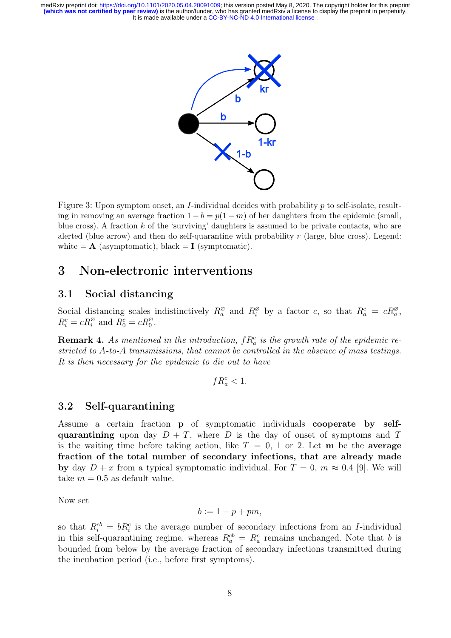

Figure 3: Upon symptom onset, an I-individual decides with probability p to self-isolate, resulting in removing an average fraction  $1 - b = p(1 - m)$  of her daughters from the epidemic (small, blue cross). A fraction  $k$  of the 'surviving' daughters is assumed to be private contacts, who are alerted (blue arrow) and then do self-quarantine with probability  $r$  (large, blue cross). Legend: white  $= A$  (asymptomatic), black  $= I$  (symptomatic).

### 3 Non-electronic interventions

#### 3.1 Social distancing

Social distancing scales indistinctively  $R_a^{\varnothing}$  and  $R_i^{\varnothing}$  by a factor c, so that  $R_a^c = cR_a^{\varnothing}$ ,  $R_i^c = cR_i^{\varnothing}$  and  $R_0^c = cR_0^{\varnothing}$ .

**Remark 4.** As mentioned in the introduction,  $f R_a^c$  is the growth rate of the epidemic restricted to A-to-A transmissions, that cannot be controlled in the absence of mass testings. It is then necessary for the epidemic to die out to have

$$
fR_a^c<1.
$$

#### 3.2 Self-quarantining

Assume a certain fraction p of symptomatic individuals cooperate by selfquarantining upon day  $D + T$ , where D is the day of onset of symptoms and T is the waiting time before taking action, like  $T = 0$ , 1 or 2. Let **m** be the **average** fraction of the total number of secondary infections, that are already made by day  $D + x$  from a typical symptomatic individual. For  $T = 0$ ,  $m \approx 0.4$  [9]. We will take  $m = 0.5$  as default value.

Now set

$$
b := 1 - p + pm,
$$

so that  $R_i^{cb} = bR_i^c$  is the average number of secondary infections from an *I*-individual in this self-quarantining regime, whereas  $R_a^{cb} = R_a^c$  remains unchanged. Note that b is bounded from below by the average fraction of secondary infections transmitted during the incubation period (i.e., before first symptoms).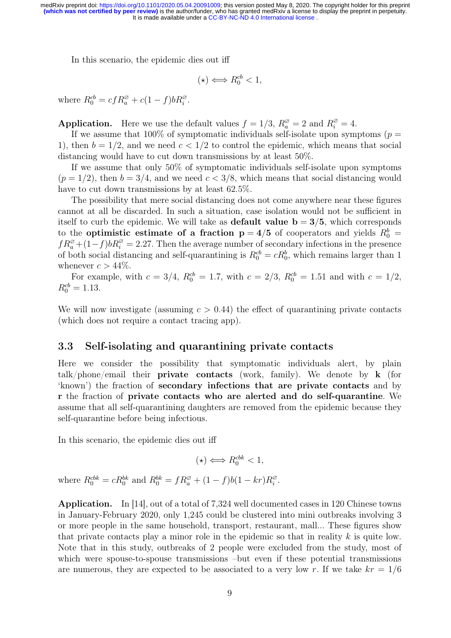In this scenario, the epidemic dies out iff

$$
(\star) \Longleftrightarrow R_0^{cb} < 1,
$$

where  $R_0^{cb} = c f R_a^{\varnothing} + c (1 - f) b R_i^{\varnothing}$ .

**Application.** Here we use the default values  $f = 1/3$ ,  $R_a^{\emptyset} = 2$  and  $R_i^{\emptyset} = 4$ .

If we assume that 100% of symptomatic individuals self-isolate upon symptoms ( $p =$ 1), then  $b = 1/2$ , and we need  $c < 1/2$  to control the epidemic, which means that social distancing would have to cut down transmissions by at least 50%.

If we assume that only 50% of symptomatic individuals self-isolate upon symptoms  $(p = 1/2)$ , then  $b = 3/4$ , and we need  $c < 3/8$ , which means that social distancing would have to cut down transmissions by at least  $62.5\%$ .

The possibility that mere social distancing does not come anywhere near these figures cannot at all be discarded. In such a situation, case isolation would not be sufficient in itself to curb the epidemic. We will take as **default value**  $b = 3/5$ , which corresponds to the **optimistic estimate of a fraction**  $p = 4/5$  of cooperators and yields  $R_0^b$  =  $fR_a^{\varnothing} + (1-f)bR_i^{\varnothing} = 2.27$ . Then the average number of secondary infections in the presence of both social distancing and self-quarantining is  $R_0^{cb} = cR_0^b$ , which remains larger than 1 whenever  $c > 44\%$ .

For example, with  $c = 3/4$ ,  $R_0^{cb} = 1.7$ , with  $c = 2/3$ ,  $R_0^{cb} = 1.51$  and with  $c = 1/2$ ,  $R_0^{cb} = 1.13.$ 

We will now investigate (assuming  $c > 0.44$ ) the effect of quarantining private contacts (which does not require a contact tracing app).

#### 3.3 Self-isolating and quarantining private contacts

Here we consider the possibility that symptomatic individuals alert, by plain talk/phone/email their private contacts (work, family). We denote by k (for 'known') the fraction of secondary infections that are private contacts and by r the fraction of private contacts who are alerted and do self-quarantine. We assume that all self-quarantining daughters are removed from the epidemic because they self-quarantine before being infectious.

In this scenario, the epidemic dies out iff

$$
(\star) \Longleftrightarrow R_0^{cbk} < 1,
$$

where  $R_0^{cbb} = cR_0^{bk}$  and  $R_0^{bk} = fR_a^{\varnothing} + (1 - f)b(1 - kr)R_i^{\varnothing}$  $\frac{\varnothing}{i}$  .

Application. In [14], out of a total of 7,324 well documented cases in 120 Chinese towns in January-February 2020, only 1,245 could be clustered into mini outbreaks involving 3 or more people in the same household, transport, restaurant, mall... These figures show that private contacts play a minor role in the epidemic so that in reality  $k$  is quite low. Note that in this study, outbreaks of 2 people were excluded from the study, most of which were spouse-to-spouse transmissions –but even if these potential transmissions are numerous, they are expected to be associated to a very low r. If we take  $kr = 1/6$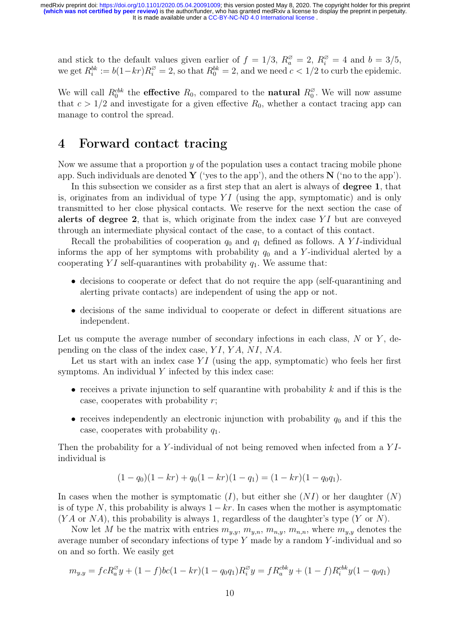and stick to the default values given earlier of  $f = 1/3$ ,  $R_a^{\varnothing} = 2$ ,  $R_i^{\varnothing} = 4$  and  $b = 3/5$ , we get  $R_i^{bk} := b(1-kr)R_i^{\emptyset} = 2$ , so that  $R_0^{bk} = 2$ , and we need  $c < 1/2$  to curb the epidemic.

We will call  $R_0^{cbk}$  the **effective**  $R_0$ , compared to the **natural**  $R_0^{\emptyset}$  $_{0}^{\varnothing}$ . We will now assume that  $c > 1/2$  and investigate for a given effective  $R_0$ , whether a contact tracing app can manage to control the spread.

# 4 Forward contact tracing

Now we assume that a proportion  $y$  of the population uses a contact tracing mobile phone app. Such individuals are denoted  $\bf{Y}$  ('yes to the app'), and the others  $\bf{N}$  ('no to the app').

In this subsection we consider as a first step that an alert is always of **degree 1**, that is, originates from an individual of type  $YI$  (using the app, symptomatic) and is only transmitted to her close physical contacts. We reserve for the next section the case of alerts of degree 2, that is, which originate from the index case  $YI$  but are conveyed through an intermediate physical contact of the case, to a contact of this contact.

Recall the probabilities of cooperation  $q_0$  and  $q_1$  defined as follows. A YI-individual informs the app of her symptoms with probability  $q_0$  and a Y-individual alerted by a cooperating  $YI$  self-quarantines with probability  $q_1$ . We assume that:

- decisions to cooperate or defect that do not require the app (self-quarantining and alerting private contacts) are independent of using the app or not.
- decisions of the same individual to cooperate or defect in different situations are independent.

Let us compute the average number of secondary infections in each class,  $N$  or  $Y$ , depending on the class of the index case, YI, YA, NI, NA.

Let us start with an index case  $YI$  (using the app, symptomatic) who feels her first symptoms. An individual Y infected by this index case:

- receives a private injunction to self quarantine with probability  $k$  and if this is the case, cooperates with probability  $r$ ;
- receives independently an electronic injunction with probability  $q_0$  and if this the case, cooperates with probability  $q_1$ .

Then the probability for a Y-individual of not being removed when infected from a  $YI$ individual is

$$
(1 - q0)(1 - kr) + q0(1 - kr)(1 - q1) = (1 - kr)(1 - q0q1).
$$

In cases when the mother is symptomatic  $(I)$ , but either she  $(NI)$  or her daughter  $(N)$ is of type N, this probability is always  $1 - kr$ . In cases when the mother is asymptomatic  $(YA \text{ or } NA)$ , this probability is always 1, regardless of the daughter's type  $(Y \text{ or } N)$ .

Now let M be the matrix with entries  $m_{y,y}, m_{y,n}, m_{n,y}, m_{n,n}$ , where  $m_{y,y}$  denotes the average number of secondary infections of type Y made by a random Y -individual and so on and so forth. We easily get

$$
m_{y,y} = fcR_a^{\varnothing}y + (1-f)bc(1-kr)(1-q_0q_1)R_i^{\varnothing}y = fR_a^{cbk}y + (1-f)R_i^{cbk}y(1-q_0q_1)
$$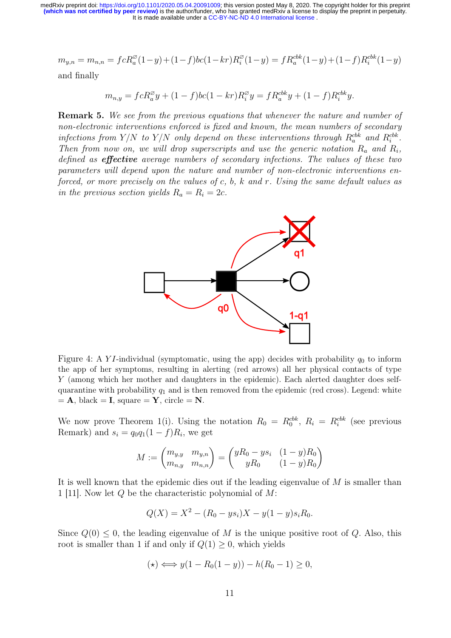$$
m_{y,n} = m_{n,n} = fcR_a^{\emptyset}(1-y) + (1-f)bc(1-kr)R_i^{\emptyset}(1-y) = fR_a^{cbk}(1-y) + (1-f)R_i^{cbk}(1-y)
$$

and finally

$$
m_{n,y} = fcR_a^{\varnothing}y + (1-f)bc(1-kr)R_i^{\varnothing}y = fR_a^{cbk}y + (1-f)R_i^{cbk}y.
$$

Remark 5. We see from the previous equations that whenever the nature and number of non-electronic interventions enforced is fixed and known, the mean numbers of secondary infections from Y/N to Y/N only depend on these interventions through  $R_a^{cbk}$  and  $R_i^{cbk}$ . Then from now on, we will drop superscripts and use the generic notation  $R_a$  and  $R_i$ , defined as **effective** average numbers of secondary infections. The values of these two parameters will depend upon the nature and number of non-electronic interventions enforced, or more precisely on the values of c, b, k and r. Using the same default values as in the previous section yields  $R_a = R_i = 2c$ .



Figure 4: A YI-individual (symptomatic, using the app) decides with probability  $q_0$  to inform the app of her symptoms, resulting in alerting (red arrows) all her physical contacts of type Y (among which her mother and daughters in the epidemic). Each alerted daughter does selfquarantine with probability  $q_1$  and is then removed from the epidemic (red cross). Legend: white  $= A$ , black  $= I$ , square  $= Y$ , circle  $= N$ .

We now prove Theorem 1(i). Using the notation  $R_0 = R_0^{cbb}$ ,  $R_i = R_i^{cbb}$  (see previous Remark) and  $s_i = q_0 q_1 (1 - f) R_i$ , we get

$$
M := \begin{pmatrix} m_{y,y} & m_{y,n} \\ m_{n,y} & m_{n,n} \end{pmatrix} = \begin{pmatrix} yR_0 - ys_i & (1-y)R_0 \\ yR_0 & (1-y)R_0 \end{pmatrix}
$$

It is well known that the epidemic dies out if the leading eigenvalue of M is smaller than 1 [11]. Now let Q be the characteristic polynomial of M:

$$
Q(X) = X^2 - (R_0 - y s_i)X - y(1 - y) s_i R_0.
$$

Since  $Q(0) \leq 0$ , the leading eigenvalue of M is the unique positive root of Q. Also, this root is smaller than 1 if and only if  $Q(1) \geq 0$ , which yields

$$
(\star) \Longleftrightarrow y(1 - R_0(1 - y)) - h(R_0 - 1) \ge 0,
$$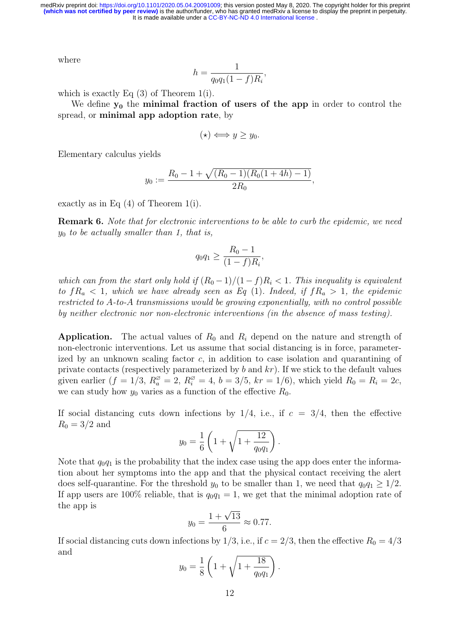where

$$
h = \frac{1}{q_0 q_1 (1 - f) R_i},
$$

which is exactly Eq (3) of Theorem 1(i).

We define  $y_0$  the minimal fraction of users of the app in order to control the spread, or minimal app adoption rate, by

$$
(\star) \Longleftrightarrow y \geq y_0.
$$

Elementary calculus yields

$$
y_0 := \frac{R_0 - 1 + \sqrt{(R_0 - 1)(R_0(1 + 4h) - 1)}}{2R_0},
$$

exactly as in Eq (4) of Theorem 1(i).

Remark 6. Note that for electronic interventions to be able to curb the epidemic, we need  $y_0$  to be actually smaller than 1, that is,

$$
q_0 q_1 \ge \frac{R_0 - 1}{(1 - f)R_i},
$$

which can from the start only hold if  $(R_0 - 1)/(1 - f)R_i < 1$ . This inequality is equivalent to  $fR_a < 1$ , which we have already seen as Eq (1). Indeed, if  $fR_a > 1$ , the epidemic restricted to A-to-A transmissions would be growing exponentially, with no control possible by neither electronic nor non-electronic interventions (in the absence of mass testing).

**Application.** The actual values of  $R_0$  and  $R_i$  depend on the nature and strength of non-electronic interventions. Let us assume that social distancing is in force, parameterized by an unknown scaling factor  $c$ , in addition to case isolation and quarantining of private contacts (respectively parameterized by  $b$  and  $kr$ ). If we stick to the default values given earlier  $(f = 1/3, R_a^{\emptyset} = 2, R_i^{\emptyset} = 4, b = 3/5, kr = 1/6)$ , which yield  $R_0 = R_i = 2c$ , we can study how  $y_0$  varies as a function of the effective  $R_0$ .

If social distancing cuts down infections by  $1/4$ , i.e., if  $c = 3/4$ , then the effective  $R_0 = 3/2$  and

$$
y_0 = \frac{1}{6} \left( 1 + \sqrt{1 + \frac{12}{q_0 q_1}} \right).
$$

Note that  $q_0q_1$  is the probability that the index case using the app does enter the information about her symptoms into the app and that the physical contact receiving the alert does self-quarantine. For the threshold  $y_0$  to be smaller than 1, we need that  $q_0q_1 \geq 1/2$ . If app users are 100% reliable, that is  $q_0q_1 = 1$ , we get that the minimal adoption rate of the app is

$$
y_0 = \frac{1 + \sqrt{13}}{6} \approx 0.77.
$$

If social distancing cuts down infections by 1/3, i.e., if  $c = 2/3$ , then the effective  $R_0 = 4/3$ and

$$
y_0 = \frac{1}{8} \left( 1 + \sqrt{1 + \frac{18}{q_0 q_1}} \right).
$$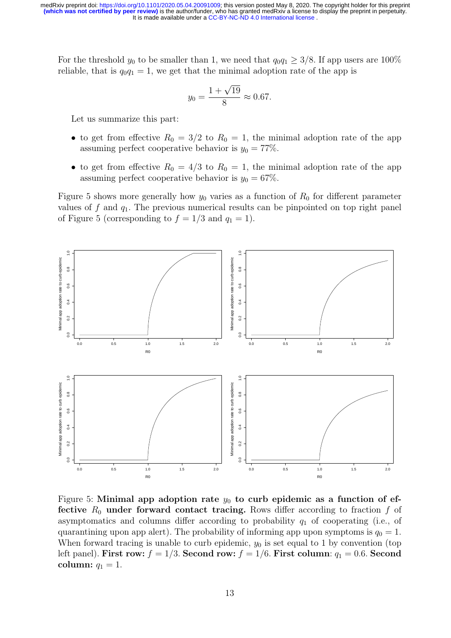For the threshold  $y_0$  to be smaller than 1, we need that  $q_0q_1 \geq 3/8$ . If app users are 100% reliable, that is  $q_0q_1 = 1$ , we get that the minimal adoption rate of the app is

$$
y_0 = \frac{1 + \sqrt{19}}{8} \approx 0.67.
$$

Let us summarize this part:

- to get from effective  $R_0 = 3/2$  to  $R_0 = 1$ , the minimal adoption rate of the app assuming perfect cooperative behavior is  $y_0 = 77\%$ .
- to get from effective  $R_0 = 4/3$  to  $R_0 = 1$ , the minimal adoption rate of the app assuming perfect cooperative behavior is  $y_0 = 67\%$ .

Figure 5 shows more generally how  $y_0$  varies as a function of  $R_0$  for different parameter values of f and  $q_1$ . The previous numerical results can be pinpointed on top right panel of Figure 5 (corresponding to  $f = 1/3$  and  $q_1 = 1$ ).



Figure 5: Minimal app adoption rate  $y_0$  to curb epidemic as a function of effective  $R_0$  under forward contact tracing. Rows differ according to fraction f of asymptomatics and columns differ according to probability  $q_1$  of cooperating (i.e., of quarantining upon app alert). The probability of informing app upon symptoms is  $q_0 = 1$ . When forward tracing is unable to curb epidemic,  $y_0$  is set equal to 1 by convention (top left panel). First row:  $f = 1/3$ . Second row:  $f = 1/6$ . First column:  $q_1 = 0.6$ . Second column:  $q_1 = 1$ .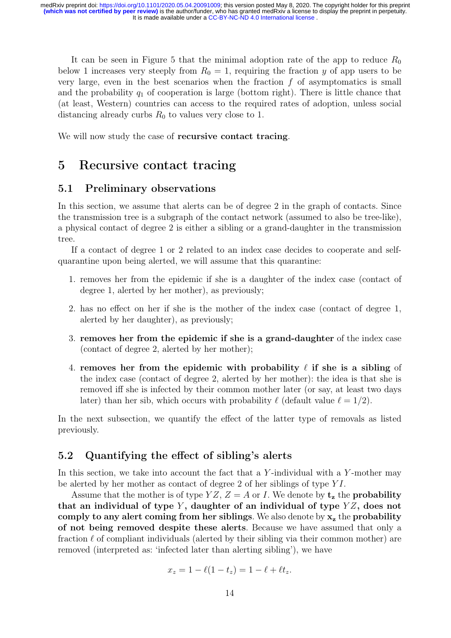It can be seen in Figure 5 that the minimal adoption rate of the app to reduce  $R_0$ below 1 increases very steeply from  $R_0 = 1$ , requiring the fraction y of app users to be very large, even in the best scenarios when the fraction  $f$  of asymptomatics is small and the probability  $q_1$  of cooperation is large (bottom right). There is little chance that (at least, Western) countries can access to the required rates of adoption, unless social distancing already curbs  $R_0$  to values very close to 1.

We will now study the case of **recursive contact tracing**.

## 5 Recursive contact tracing

#### 5.1 Preliminary observations

In this section, we assume that alerts can be of degree 2 in the graph of contacts. Since the transmission tree is a subgraph of the contact network (assumed to also be tree-like), a physical contact of degree 2 is either a sibling or a grand-daughter in the transmission tree.

If a contact of degree 1 or 2 related to an index case decides to cooperate and selfquarantine upon being alerted, we will assume that this quarantine:

- 1. removes her from the epidemic if she is a daughter of the index case (contact of degree 1, alerted by her mother), as previously;
- 2. has no effect on her if she is the mother of the index case (contact of degree 1, alerted by her daughter), as previously;
- 3. removes her from the epidemic if she is a grand-daughter of the index case (contact of degree 2, alerted by her mother);
- 4. removes her from the epidemic with probability  $\ell$  if she is a sibling of the index case (contact of degree 2, alerted by her mother): the idea is that she is removed iff she is infected by their common mother later (or say, at least two days later) than her sib, which occurs with probability  $\ell$  (default value  $\ell = 1/2$ ).

In the next subsection, we quantify the effect of the latter type of removals as listed previously.

### 5.2 Quantifying the effect of sibling's alerts

In this section, we take into account the fact that a Y-individual with a Y-mother may be alerted by her mother as contact of degree 2 of her siblings of type  $YI$ .

Assume that the mother is of type  $YZ$ ,  $Z = A$  or I. We denote by  $t<sub>z</sub>$  the **probability** that an individual of type  $Y$ , daughter of an individual of type  $YZ$ , does not comply to any alert coming from her siblings. We also denote by  $x<sub>z</sub>$  the probability of not being removed despite these alerts. Because we have assumed that only a fraction  $\ell$  of compliant individuals (alerted by their sibling via their common mother) are removed (interpreted as: 'infected later than alerting sibling'), we have

$$
x_z = 1 - \ell(1 - t_z) = 1 - \ell + \ell t_z.
$$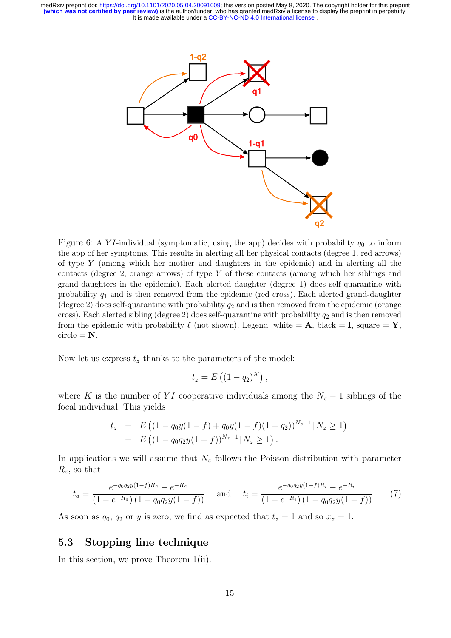

Figure 6: A YI-individual (symptomatic, using the app) decides with probability  $q_0$  to inform the app of her symptoms. This results in alerting all her physical contacts (degree 1, red arrows) of type Y (among which her mother and daughters in the epidemic) and in alerting all the contacts (degree 2, orange arrows) of type Y of these contacts (among which her siblings and grand-daughters in the epidemic). Each alerted daughter (degree 1) does self-quarantine with probability  $q_1$  and is then removed from the epidemic (red cross). Each alerted grand-daughter (degree 2) does self-quarantine with probability  $q_2$  and is then removed from the epidemic (orange cross). Each alerted sibling (degree 2) does self-quarantine with probability  $q_2$  and is then removed from the epidemic with probability  $\ell$  (not shown). Legend: white  $= A$ , black  $= I$ , square  $= Y$ ,  $circle = N$ .

Now let us express  $t<sub>z</sub>$  thanks to the parameters of the model:

$$
t_z = E\left((1-q_2)^K\right),\,
$$

where K is the number of YI cooperative individuals among the  $N_z - 1$  siblings of the focal individual. This yields

$$
t_z = E ((1 - q_0 y(1 - f) + q_0 y(1 - f)(1 - q_2))^{N_z - 1} | N_z \ge 1)
$$
  
=  $E ((1 - q_0 q_2 y(1 - f))^{N_z - 1} | N_z \ge 1).$ 

In applications we will assume that  $N_z$  follows the Poisson distribution with parameter  $R_z$ , so that

$$
t_a = \frac{e^{-q_0 q_2 y (1-f)R_a} - e^{-R_a}}{(1 - e^{-R_a})(1 - q_0 q_2 y (1 - f))} \quad \text{and} \quad t_i = \frac{e^{-q_0 q_2 y (1-f)R_i} - e^{-R_i}}{(1 - e^{-R_i})(1 - q_0 q_2 y (1 - f))}.
$$
 (7)

As soon as  $q_0$ ,  $q_2$  or y is zero, we find as expected that  $t_z = 1$  and so  $x_z = 1$ .

### 5.3 Stopping line technique

In this section, we prove Theorem 1(ii).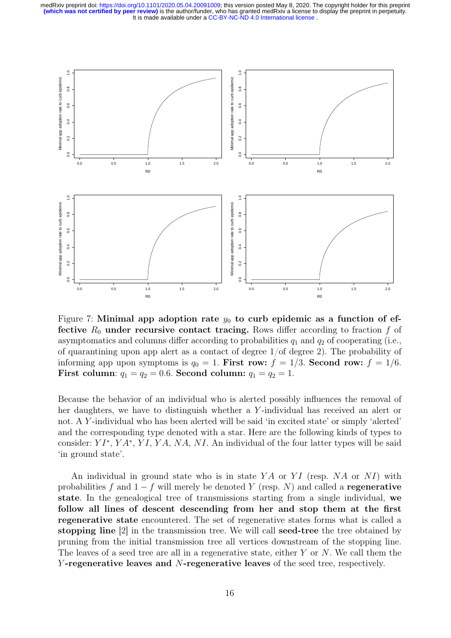

Figure 7: Minimal app adoption rate  $y_0$  to curb epidemic as a function of effective  $R_0$  under recursive contact tracing. Rows differ according to fraction f of asymptomatics and columns differ according to probabilities  $q_1$  and  $q_2$  of cooperating (i.e., of quarantining upon app alert as a contact of degree 1/of degree 2). The probability of informing app upon symptoms is  $q_0 = 1$ . First row:  $f = 1/3$ . Second row:  $f = 1/6$ . First column:  $q_1 = q_2 = 0.6$ . Second column:  $q_1 = q_2 = 1$ .

Because the behavior of an individual who is alerted possibly influences the removal of her daughters, we have to distinguish whether a Y -individual has received an alert or not. A Y-individual who has been alerted will be said 'in excited state' or simply 'alerted' and the corresponding type denoted with a star. Here are the following kinds of types to consider:  $YI^*$ ,  $YA^*$ ,  $YI$ ,  $YA$ ,  $NA$ ,  $NI$ . An individual of the four latter types will be said 'in ground state'.

An individual in ground state who is in state  $YA$  or  $YI$  (resp. NA or NI) with probabilities f and  $1 - f$  will merely be denoted Y (resp. N) and called a regenerative state. In the genealogical tree of transmissions starting from a single individual, we follow all lines of descent descending from her and stop them at the first regenerative state encountered. The set of regenerative states forms what is called a stopping line [2] in the transmission tree. We will call seed-tree the tree obtained by pruning from the initial transmission tree all vertices downstream of the stopping line. The leaves of a seed tree are all in a regenerative state, either Y or N. We call them the Y-regenerative leaves and N-regenerative leaves of the seed tree, respectively.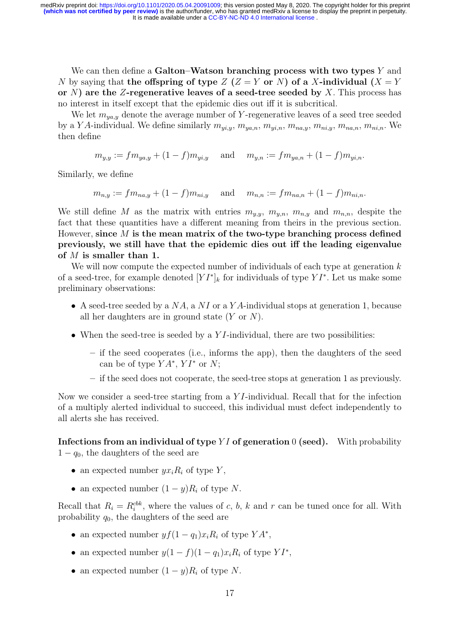It is made available under a [CC-BY-NC-ND 4.0 International license](http://creativecommons.org/licenses/by-nc-nd/4.0/) . medRxiv preprint doi: [https://doi.org/10.1101/2020.05.04.20091009;](https://doi.org/10.1101/2020.05.04.20091009) this version posted May 8, 2020. The copyright holder for this preprint<br>(which was not certified by peer review) is the author/funder, who has granted medR

We can then define a Galton–Watson branching process with two types  $Y$  and N by saying that the offspring of type  $Z$  ( $Z = Y$  or N) of a X-individual ( $X = Y$ or N) are the Z-regenerative leaves of a seed-tree seeded by X. This process has no interest in itself except that the epidemic dies out iff it is subcritical.

We let  $m_{ya,y}$  denote the average number of Y-regenerative leaves of a seed tree seeded by a Y A-individual. We define similarly  $m_{y_i,y}$ ,  $m_{y_a,n}$ ,  $m_{y_i,n}$ ,  $m_{n_a,y}$ ,  $m_{ni,y}$ ,  $m_{na,n}$ ,  $m_{ni,n}$ . We then define

 $m_{y,y} := fm_{ya,y} + (1-f)m_{yi,y}$  and  $m_{y,n} := fm_{ya,n} + (1-f)m_{yi,n}$ .

Similarly, we define

 $m_{n,y} := fm_{na,y} + (1-f)m_{ni,y}$  and  $m_{n,n} := fm_{na,n} + (1-f)m_{ni,n}$ .

We still define M as the matrix with entries  $m_{y,y}$ ,  $m_{y,n}$ ,  $m_{n,y}$  and  $m_{n,n}$ , despite the fact that these quantities have a different meaning from theirs in the previous section. However, since  $M$  is the mean matrix of the two-type branching process defined previously, we still have that the epidemic dies out iff the leading eigenvalue of M is smaller than 1.

We will now compute the expected number of individuals of each type at generation  $k$ of a seed-tree, for example denoted  $[YI^*]_k$  for individuals of type  $YI^*$ . Let us make some preliminary observations:

- A seed-tree seeded by a  $NA$ , a NI or a YA-individual stops at generation 1, because all her daughters are in ground state  $(Y \text{ or } N)$ .
- When the seed-tree is seeded by a  $YI$ -individual, there are two possibilities:
	- if the seed cooperates (i.e., informs the app), then the daughters of the seed can be of type  $YA^*$ ,  $YI^*$  or  $N$ ;
	- if the seed does not cooperate, the seed-tree stops at generation 1 as previously.

Now we consider a seed-tree starting from a Y I-individual. Recall that for the infection of a multiply alerted individual to succeed, this individual must defect independently to all alerts she has received.

Infections from an individual of type YI of generation  $0$  (seed). With probability  $1 - q_0$ , the daughters of the seed are

- an expected number  $yx_iR_i$  of type Y,
- an expected number  $(1 y)R_i$  of type N.

Recall that  $R_i = R_i^{cbb}$ , where the values of c, b, k and r can be tuned once for all. With probability  $q_0$ , the daughters of the seed are

- an expected number  $y f(1 q_1) x_i R_i$  of type  $YA^*$ ,
- an expected number  $y(1-f)(1-q_1)x_iR_i$  of type  $YI^*$ ,
- an expected number  $(1 y)R_i$  of type N.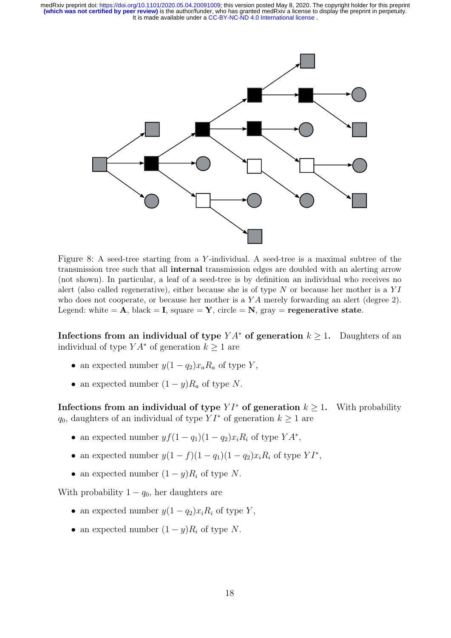

Figure 8: A seed-tree starting from a Y-individual. A seed-tree is a maximal subtree of the transmission tree such that all internal transmission edges are doubled with an alerting arrow (not shown). In particular, a leaf of a seed-tree is by definition an individual who receives no alert (also called regenerative), either because she is of type  $N$  or because her mother is a  $YI$ who does not cooperate, or because her mother is a YA merely forwarding an alert (degree 2). Legend: white  $= A$ , black  $= I$ , square  $= Y$ , circle  $= N$ , gray  $=$  **regenerative state**.

Infections from an individual of type  $YA^*$  of generation  $k \geq 1$ . Daughters of an individual of type  $YA^*$  of generation  $k \geq 1$  are

- an expected number  $y(1 q_2)x_a R_a$  of type Y,
- an expected number  $(1 y)R_a$  of type N.

Infections from an individual of type  $Y I^*$  of generation  $k \geq 1$ . With probability  $q_0$ , daughters of an individual of type  $Y I^*$  of generation  $k \geq 1$  are

- an expected number  $y f(1 q_1)(1 q_2)x_i R_i$  of type  $YA^*$ ,
- an expected number  $y(1-f)(1-q_1)(1-q_2)x_iR_i$  of type  $YI^*$ ,
- an expected number  $(1 y)R_i$  of type N.

With probability  $1 - q_0$ , her daughters are

- an expected number  $y(1 q_2)x_iR_i$  of type Y,
- an expected number  $(1 y)R_i$  of type N.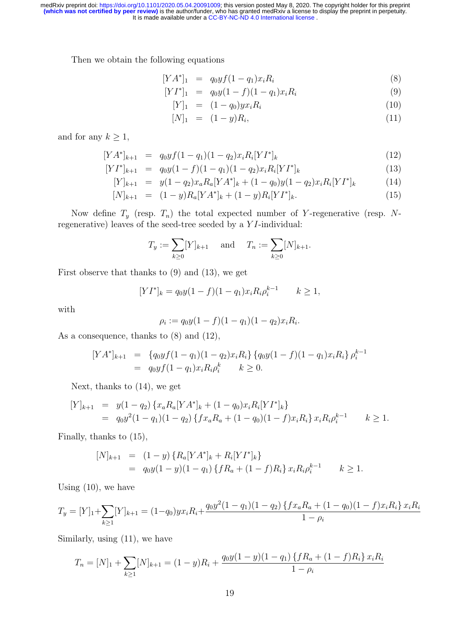It is made available under a [CC-BY-NC-ND 4.0 International license](http://creativecommons.org/licenses/by-nc-nd/4.0/) . medRxiv preprint doi: [https://doi.org/10.1101/2020.05.04.20091009;](https://doi.org/10.1101/2020.05.04.20091009) this version posted May 8, 2020. The copyright holder for this preprint<br>(which was not certified by peer review) is the author/funder, who has granted medR

Then we obtain the following equations

$$
[YA^*]_1 = q_0 y f (1 - q_1) x_i R_i \tag{8}
$$

$$
[YI^*]_1 = q_0 y (1 - f)(1 - q_1) x_i R_i \tag{9}
$$

$$
[Y]_1 = (1 - q_0) y x_i R_i \tag{10}
$$

$$
[N]_1 = (1-y)R_i, \t\t(11)
$$

and for any  $k \geq 1$ ,

 $\sqrt{2}$ 

$$
[YA^*]_{k+1} = q_0 y f (1 - q_1)(1 - q_2) x_i R_i [Y I^*]_k
$$
\n(12)

$$
YI^*]_{k+1} = q_0 y (1-f)(1-q_1)(1-q_2)x_i R_i [YI^*]_k
$$
\n(13)

$$
[Y]_{k+1} = y(1-q_2)x_a R_a [YA^*]_k + (1-q_0)y(1-q_2)x_i R_i [Y I^*]_k \tag{14}
$$

$$
[N]_{k+1} = (1-y)R_a[YA^*]_k + (1-y)R_i[YI^*]_k. \tag{15}
$$

Now define  $T_y$  (resp.  $T_n$ ) the total expected number of Y-regenerative (resp. Nregenerative) leaves of the seed-tree seeded by a Y I-individual:

$$
T_y := \sum_{k \ge 0} [Y]_{k+1}
$$
 and  $T_n := \sum_{k \ge 0} [N]_{k+1}$ .

First observe that thanks to (9) and (13), we get

$$
[YI^*]_k = q_0 y (1 - f)(1 - q_1) x_i R_i \rho_i^{k-1} \qquad k \ge 1,
$$

with

$$
\rho_i := q_0 y (1 - f)(1 - q_1)(1 - q_2) x_i R_i.
$$

As a consequence, thanks to  $(8)$  and  $(12)$ ,

$$
[YA^*]_{k+1} = \{q_0 yf(1-q_1)(1-q_2)x_iR_i\} \{q_0 y(1-f)(1-q_1)x_iR_i\} \rho_i^{k-1}
$$
  
=  $q_0 yf(1-q_1)x_iR_i\rho_i^k$   $k \ge 0$ .

Next, thanks to (14), we get

$$
[Y]_{k+1} = y(1-q_2) \{x_a R_a [YA^*]_k + (1-q_0)x_i R_i [YI^*]_k\}
$$
  
=  $q_0 y^2 (1-q_1)(1-q_2) \{fx_a R_a + (1-q_0)(1-f)x_i R_i\} x_i R_i \rho_i^{k-1} \qquad k \ge 1.$ 

Finally, thanks to (15),

$$
[N]_{k+1} = (1-y) \{ R_a [YA^*]_k + R_i [YI^*]_k \}
$$
  
=  $q_0 y (1-y) (1-q_1) \{ f R_a + (1-f) R_i \} x_i R_i \rho_i^{k-1} \qquad k \ge 1.$ 

Using  $(10)$ , we have

$$
T_y = [Y]_1 + \sum_{k \ge 1} [Y]_{k+1} = (1 - q_0) y x_i R_i + \frac{q_0 y^2 (1 - q_1)(1 - q_2) \{ f x_a R_a + (1 - q_0)(1 - f) x_i R_i \} x_i R_i}{1 - \rho_i}
$$

Similarly, using (11), we have

$$
T_n = [N]_1 + \sum_{k \ge 1} [N]_{k+1} = (1 - y)R_i + \frac{q_0y(1 - y)(1 - q_1)\{fR_a + (1 - f)R_i\}x_iR_i}{1 - \rho_i}
$$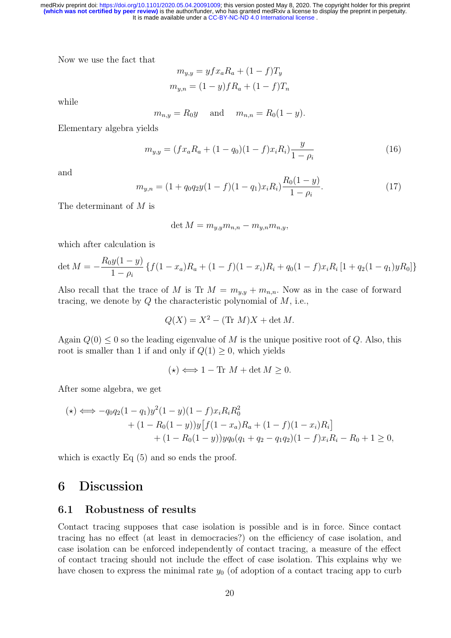Now we use the fact that

$$
m_{y,y} = yfx_aR_a + (1 - f)T_y
$$

$$
m_{y,n} = (1 - y)fR_a + (1 - f)T_n
$$

while

$$
m_{n,y} = R_0 y
$$
 and  $m_{n,n} = R_0 (1 - y)$ .

Elementary algebra yields

$$
m_{y,y} = (fx_aR_a + (1-q_0)(1-f)x_iR_i)\frac{y}{1-\rho_i}
$$
\n(16)

and

$$
m_{y,n} = (1 + q_0 q_2 y (1 - f)(1 - q_1) x_i R_i) \frac{R_0 (1 - y)}{1 - \rho_i}.
$$
\n(17)

The determinant of  $M$  is

$$
\det M = m_{y,y} m_{n,n} - m_{y,n} m_{n,y},
$$

which after calculation is

$$
\det M = -\frac{R_0 y(1-y)}{1-\rho_i} \left\{ f(1-x_a)R_a + (1-f)(1-x_i)R_i + q_0(1-f)x_iR_i [1+q_2(1-q_1)yR_0] \right\}
$$

Also recall that the trace of M is Tr  $M = m_{y,y} + m_{n,n}$ . Now as in the case of forward tracing, we denote by  $Q$  the characteristic polynomial of  $M$ , i.e.,

$$
Q(X) = X^2 - (\text{Tr } M)X + \det M.
$$

Again  $Q(0) \leq 0$  so the leading eigenvalue of M is the unique positive root of Q. Also, this root is smaller than 1 if and only if  $Q(1) \geq 0$ , which yields

$$
(\star) \Longleftrightarrow 1 - \text{Tr } M + \det M \ge 0.
$$

After some algebra, we get

$$
(\star) \iff -q_0 q_2 (1 - q_1) y^2 (1 - y)(1 - f) x_i R_i R_0^2 + (1 - R_0 (1 - y)) y [f(1 - x_a) R_a + (1 - f)(1 - x_i) R_i] + (1 - R_0 (1 - y)) y q_0 (q_1 + q_2 - q_1 q_2)(1 - f) x_i R_i - R_0 + 1 \ge 0,
$$

which is exactly Eq (5) and so ends the proof.

# 6 Discussion

#### 6.1 Robustness of results

Contact tracing supposes that case isolation is possible and is in force. Since contact tracing has no effect (at least in democracies?) on the efficiency of case isolation, and case isolation can be enforced independently of contact tracing, a measure of the effect of contact tracing should not include the effect of case isolation. This explains why we have chosen to express the minimal rate  $y_0$  (of adoption of a contact tracing app to curb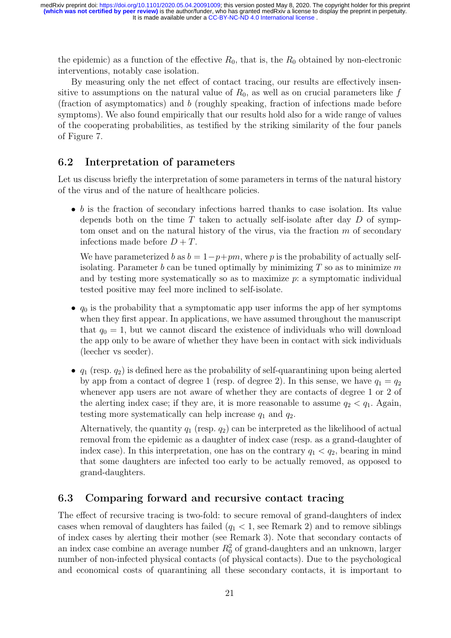the epidemic) as a function of the effective  $R_0$ , that is, the  $R_0$  obtained by non-electronic interventions, notably case isolation.

By measuring only the net effect of contact tracing, our results are effectively insensitive to assumptions on the natural value of  $R_0$ , as well as on crucial parameters like f (fraction of asymptomatics) and b (roughly speaking, fraction of infections made before symptoms). We also found empirically that our results hold also for a wide range of values of the cooperating probabilities, as testified by the striking similarity of the four panels of Figure 7.

### 6.2 Interpretation of parameters

Let us discuss briefly the interpretation of some parameters in terms of the natural history of the virus and of the nature of healthcare policies.

 $\bullet$  b is the fraction of secondary infections barred thanks to case isolation. Its value depends both on the time  $T$  taken to actually self-isolate after day  $D$  of symptom onset and on the natural history of the virus, via the fraction  $m$  of secondary infections made before  $D + T$ .

We have parameterized b as  $b = 1-p+pm$ , where p is the probability of actually selfisolating. Parameter b can be tuned optimally by minimizing  $T$  so as to minimize m and by testing more systematically so as to maximize  $p$ : a symptomatic individual tested positive may feel more inclined to self-isolate.

- $q_0$  is the probability that a symptomatic app user informs the app of her symptoms when they first appear. In applications, we have assumed throughout the manuscript that  $q_0 = 1$ , but we cannot discard the existence of individuals who will download the app only to be aware of whether they have been in contact with sick individuals (leecher vs seeder).
- $q_1$  (resp.  $q_2$ ) is defined here as the probability of self-quarantining upon being alerted by app from a contact of degree 1 (resp. of degree 2). In this sense, we have  $q_1 = q_2$ whenever app users are not aware of whether they are contacts of degree 1 or 2 of the alerting index case; if they are, it is more reasonable to assume  $q_2 < q_1$ . Again, testing more systematically can help increase  $q_1$  and  $q_2$ .

Alternatively, the quantity  $q_1$  (resp.  $q_2$ ) can be interpreted as the likelihood of actual removal from the epidemic as a daughter of index case (resp. as a grand-daughter of index case). In this interpretation, one has on the contrary  $q_1 < q_2$ , bearing in mind that some daughters are infected too early to be actually removed, as opposed to grand-daughters.

### 6.3 Comparing forward and recursive contact tracing

The effect of recursive tracing is two-fold: to secure removal of grand-daughters of index cases when removal of daughters has failed  $(q_1 < 1$ , see Remark 2) and to remove siblings of index cases by alerting their mother (see Remark 3). Note that secondary contacts of an index case combine an average number  $R_0^2$  of grand-daughters and an unknown, larger number of non-infected physical contacts (of physical contacts). Due to the psychological and economical costs of quarantining all these secondary contacts, it is important to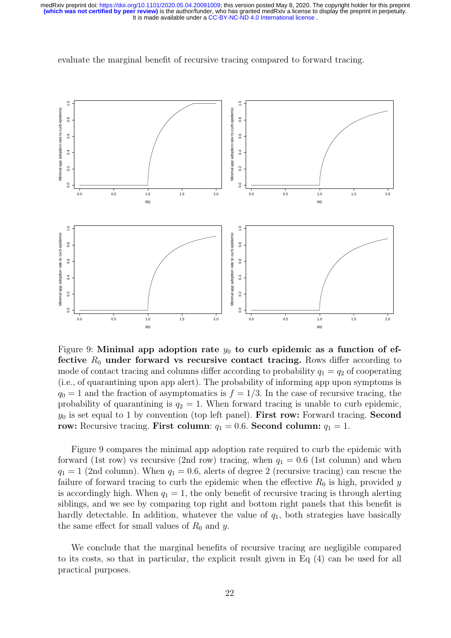

evaluate the marginal benefit of recursive tracing compared to forward tracing.

Figure 9: Minimal app adoption rate  $y_0$  to curb epidemic as a function of effective  $R_0$  under forward vs recursive contact tracing. Rows differ according to mode of contact tracing and columns differ according to probability  $q_1 = q_2$  of cooperating (i.e., of quarantining upon app alert). The probability of informing app upon symptoms is  $q_0 = 1$  and the fraction of asymptomatics is  $f = 1/3$ . In the case of recursive tracing, the probability of quarantining is  $q_2 = 1$ . When forward tracing is unable to curb epidemic,  $y_0$  is set equal to 1 by convention (top left panel). First row: Forward tracing. Second row: Recursive tracing. First column:  $q_1 = 0.6$ . Second column:  $q_1 = 1$ .

Figure 9 compares the minimal app adoption rate required to curb the epidemic with forward (1st row) vs recursive (2nd row) tracing, when  $q_1 = 0.6$  (1st column) and when  $q_1 = 1$  (2nd column). When  $q_1 = 0.6$ , alerts of degree 2 (recursive tracing) can rescue the failure of forward tracing to curb the epidemic when the effective  $R_0$  is high, provided y is accordingly high. When  $q_1 = 1$ , the only benefit of recursive tracing is through alerting siblings, and we see by comparing top right and bottom right panels that this benefit is hardly detectable. In addition, whatever the value of  $q_1$ , both strategies have basically the same effect for small values of  $R_0$  and y.

We conclude that the marginal benefits of recursive tracing are negligible compared to its costs, so that in particular, the explicit result given in Eq (4) can be used for all practical purposes.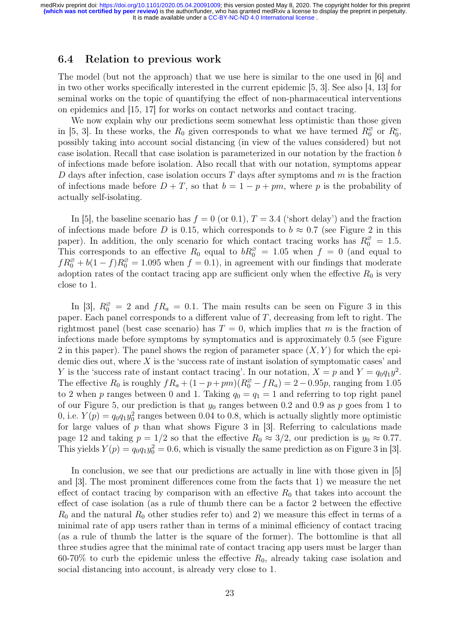#### 6.4 Relation to previous work

The model (but not the approach) that we use here is similar to the one used in [6] and in two other works specifically interested in the current epidemic [5, 3]. See also [4, 13] for seminal works on the topic of quantifying the effect of non-pharmaceutical interventions on epidemics and [15, 17] for works on contact networks and contact tracing.

We now explain why our predictions seem somewhat less optimistic than those given in [5, 3]. In these works, the  $R_0$  given corresponds to what we have termed  $R_0^{\emptyset}$  $R_0^\emptyset$  or  $R_0^c$ , possibly taking into account social distancing (in view of the values considered) but not case isolation. Recall that case isolation is parameterized in our notation by the fraction b of infections made before isolation. Also recall that with our notation, symptoms appear D days after infection, case isolation occurs  $T$  days after symptoms and  $m$  is the fraction of infections made before  $D + T$ , so that  $b = 1 - p + pm$ , where p is the probability of actually self-isolating.

In [5], the baseline scenario has  $f = 0$  (or 0.1),  $T = 3.4$  ('short delay') and the fraction of infections made before D is 0.15, which corresponds to  $b \approx 0.7$  (see Figure 2 in this paper). In addition, the only scenario for which contact tracing works has  $R_0^{\varnothing} = 1.5$ . This corresponds to an effective  $R_0$  equal to  $bR_0^{\varnothing} = 1.05$  when  $f = 0$  (and equal to  $fR_0^{\varnothing} + b(1-f)R_0^{\varnothing} = 1.095$  when  $f = 0.1$ , in agreement with our findings that moderate adoption rates of the contact tracing app are sufficient only when the effective  $R_0$  is very close to 1.

In [3],  $R_0^{\varnothing} = 2$  and  $fR_a = 0.1$ . The main results can be seen on Figure 3 in this paper. Each panel corresponds to a different value of T, decreasing from left to right. The rightmost panel (best case scenario) has  $T = 0$ , which implies that m is the fraction of infections made before symptoms by symptomatics and is approximately 0.5 (see Figure 2 in this paper). The panel shows the region of parameter space  $(X, Y)$  for which the epidemic dies out, where  $X$  is the 'success rate of instant isolation of symptomatic cases' and Y is the 'success rate of instant contact tracing'. In our notation,  $X = p$  and  $Y = q_0 q_1 y^2$ . The effective  $R_0$  is roughly  $fR_a + (1 - p + pm)(R_0^{\varnothing} - fR_a) = 2 - 0.95p$ , ranging from 1.05 to 2 when p ranges between 0 and 1. Taking  $q_0 = q_1 = 1$  and referring to top right panel of our Figure 5, our prediction is that  $y_0$  ranges between 0.2 and 0.9 as p goes from 1 to 0, i.e.  $Y(p) = q_0 q_1 y_0^2$  ranges between 0.04 to 0.8, which is actually slightly more optimistic for large values of  $p$  than what shows Figure 3 in [3]. Referring to calculations made page 12 and taking  $p = 1/2$  so that the effective  $R_0 \approx 3/2$ , our prediction is  $y_0 \approx 0.77$ . This yields  $Y(p) = q_0 q_1 y_0^2 = 0.6$ , which is visually the same prediction as on Figure 3 in [3].

In conclusion, we see that our predictions are actually in line with those given in [5] and [3]. The most prominent differences come from the facts that 1) we measure the net effect of contact tracing by comparison with an effective  $R_0$  that takes into account the effect of case isolation (as a rule of thumb there can be a factor 2 between the effective  $R_0$  and the natural  $R_0$  other studies refer to) and 2) we measure this effect in terms of a minimal rate of app users rather than in terms of a minimal efficiency of contact tracing (as a rule of thumb the latter is the square of the former). The bottomline is that all three studies agree that the minimal rate of contact tracing app users must be larger than 60-70% to curb the epidemic unless the effective  $R_0$ , already taking case isolation and social distancing into account, is already very close to 1.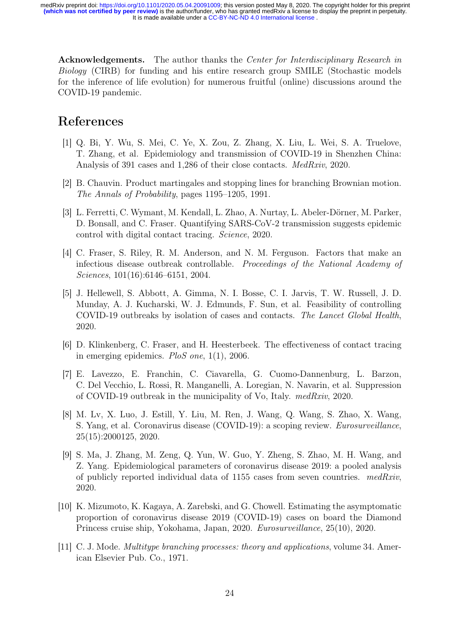Acknowledgements. The author thanks the Center for Interdisciplinary Research in Biology (CIRB) for funding and his entire research group SMILE (Stochastic models for the inference of life evolution) for numerous fruitful (online) discussions around the COVID-19 pandemic.

### References

- [1] Q. Bi, Y. Wu, S. Mei, C. Ye, X. Zou, Z. Zhang, X. Liu, L. Wei, S. A. Truelove, T. Zhang, et al. Epidemiology and transmission of COVID-19 in Shenzhen China: Analysis of 391 cases and 1,286 of their close contacts. MedRxiv, 2020.
- [2] B. Chauvin. Product martingales and stopping lines for branching Brownian motion. The Annals of Probability, pages 1195–1205, 1991.
- [3] L. Ferretti, C. Wymant, M. Kendall, L. Zhao, A. Nurtay, L. Abeler-Dörner, M. Parker, D. Bonsall, and C. Fraser. Quantifying SARS-CoV-2 transmission suggests epidemic control with digital contact tracing. Science, 2020.
- [4] C. Fraser, S. Riley, R. M. Anderson, and N. M. Ferguson. Factors that make an infectious disease outbreak controllable. Proceedings of the National Academy of Sciences, 101(16):6146–6151, 2004.
- [5] J. Hellewell, S. Abbott, A. Gimma, N. I. Bosse, C. I. Jarvis, T. W. Russell, J. D. Munday, A. J. Kucharski, W. J. Edmunds, F. Sun, et al. Feasibility of controlling COVID-19 outbreaks by isolation of cases and contacts. The Lancet Global Health, 2020.
- [6] D. Klinkenberg, C. Fraser, and H. Heesterbeek. The effectiveness of contact tracing in emerging epidemics. PloS one, 1(1), 2006.
- [7] E. Lavezzo, E. Franchin, C. Ciavarella, G. Cuomo-Dannenburg, L. Barzon, C. Del Vecchio, L. Rossi, R. Manganelli, A. Loregian, N. Navarin, et al. Suppression of COVID-19 outbreak in the municipality of Vo, Italy. medRxiv, 2020.
- [8] M. Lv, X. Luo, J. Estill, Y. Liu, M. Ren, J. Wang, Q. Wang, S. Zhao, X. Wang, S. Yang, et al. Coronavirus disease (COVID-19): a scoping review. Eurosurveillance, 25(15):2000125, 2020.
- [9] S. Ma, J. Zhang, M. Zeng, Q. Yun, W. Guo, Y. Zheng, S. Zhao, M. H. Wang, and Z. Yang. Epidemiological parameters of coronavirus disease 2019: a pooled analysis of publicly reported individual data of  $1155$  cases from seven countries. medRxiv, 2020.
- [10] K. Mizumoto, K. Kagaya, A. Zarebski, and G. Chowell. Estimating the asymptomatic proportion of coronavirus disease 2019 (COVID-19) cases on board the Diamond Princess cruise ship, Yokohama, Japan, 2020. Eurosurveillance, 25(10), 2020.
- [11] C. J. Mode. Multitype branching processes: theory and applications, volume 34. American Elsevier Pub. Co., 1971.